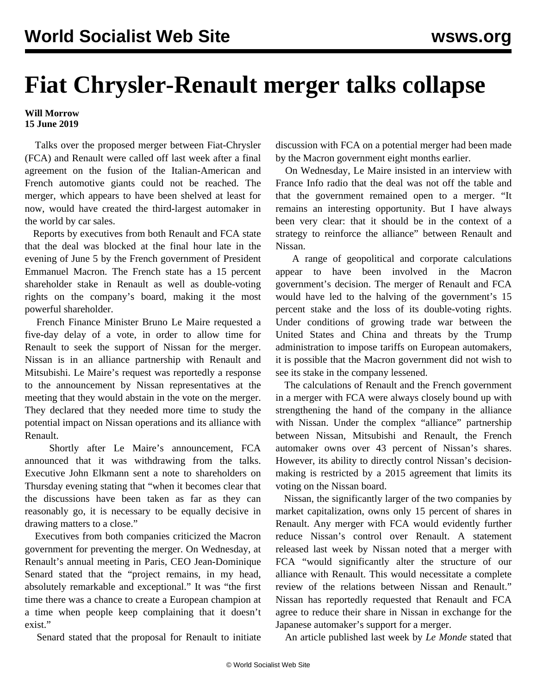## **Fiat Chrysler-Renault merger talks collapse**

## **Will Morrow 15 June 2019**

 Talks over the proposed merger between Fiat-Chrysler (FCA) and Renault were called off last week after a final agreement on the fusion of the Italian-American and French automotive giants could not be reached. The merger, which appears to have been shelved at least for now, would have created the third-largest automaker in the world by car sales.

 Reports by executives from both Renault and FCA state that the deal was blocked at the final hour late in the evening of June 5 by the French government of President Emmanuel Macron. The French state has a 15 percent shareholder stake in Renault as well as double-voting rights on the company's board, making it the most powerful shareholder.

 French Finance Minister Bruno Le Maire requested a five-day delay of a vote, in order to allow time for Renault to seek the support of Nissan for the merger. Nissan is in an alliance partnership with Renault and Mitsubishi. Le Maire's request was reportedly a response to the announcement by Nissan representatives at the meeting that they would abstain in the vote on the merger. They declared that they needed more time to study the potential impact on Nissan operations and its alliance with Renault.

 Shortly after Le Maire's announcement, FCA announced that it was withdrawing from the talks. Executive John Elkmann sent a note to shareholders on Thursday evening stating that "when it becomes clear that the discussions have been taken as far as they can reasonably go, it is necessary to be equally decisive in drawing matters to a close."

 Executives from both companies criticized the Macron government for preventing the merger. On Wednesday, at Renault's annual meeting in Paris, CEO Jean-Dominique Senard stated that the "project remains, in my head, absolutely remarkable and exceptional." It was "the first time there was a chance to create a European champion at a time when people keep complaining that it doesn't exist."

Senard stated that the proposal for Renault to initiate

discussion with FCA on a potential merger had been made by the Macron government eight months earlier.

 On Wednesday, Le Maire insisted in an interview with France Info radio that the deal was not off the table and that the government remained open to a merger. "It remains an interesting opportunity. But I have always been very clear: that it should be in the context of a strategy to reinforce the alliance" between Renault and Nissan.

 A range of geopolitical and corporate calculations appear to have been involved in the Macron government's decision. The merger of Renault and FCA would have led to the halving of the government's 15 percent stake and the loss of its double-voting rights. Under conditions of growing trade war between the United States and China and threats by the Trump administration to impose tariffs on European automakers, it is possible that the Macron government did not wish to see its stake in the company lessened.

 The calculations of Renault and the French government in a merger with FCA were always closely bound up with strengthening the hand of the company in the alliance with Nissan. Under the complex "alliance" partnership between Nissan, Mitsubishi and Renault, the French automaker owns over 43 percent of Nissan's shares. However, its ability to directly control Nissan's decisionmaking is restricted by a 2015 agreement that limits its voting on the Nissan board.

 Nissan, the significantly larger of the two companies by market capitalization, owns only 15 percent of shares in Renault. Any merger with FCA would evidently further reduce Nissan's control over Renault. A statement released last week by Nissan noted that a merger with FCA "would significantly alter the structure of our alliance with Renault. This would necessitate a complete review of the relations between Nissan and Renault." Nissan has reportedly requested that Renault and FCA agree to reduce their share in Nissan in exchange for the Japanese automaker's support for a merger.

An article published last week by *Le Monde* stated that